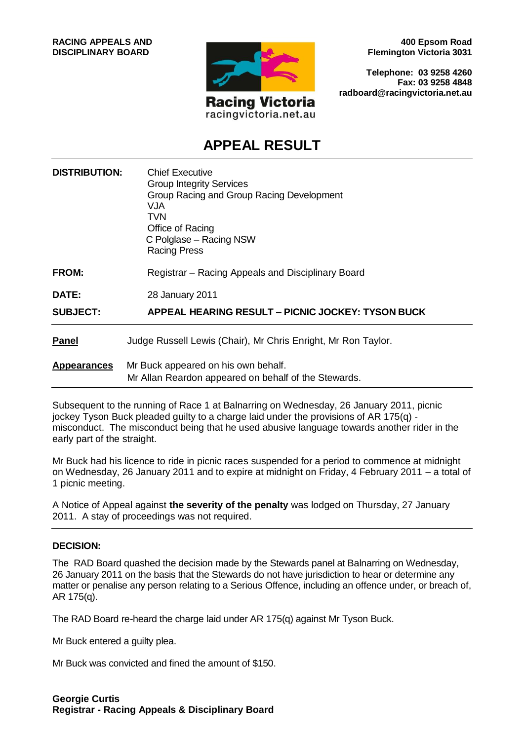

**400 Epsom Road Flemington Victoria 3031**

**Telephone: 03 9258 4260 Fax: 03 9258 4848 radboard@racingvictoria.net.au**

# **APPEAL RESULT**

| <b>DISTRIBUTION:</b> | <b>Chief Executive</b><br><b>Group Integrity Services</b><br>Group Racing and Group Racing Development<br>VJA<br>TVN<br>Office of Racing<br>C Polglase – Racing NSW<br><b>Racing Press</b> |
|----------------------|--------------------------------------------------------------------------------------------------------------------------------------------------------------------------------------------|
| FROM:                | Registrar – Racing Appeals and Disciplinary Board                                                                                                                                          |
| DATE:                | 28 January 2011                                                                                                                                                                            |
| <b>SUBJECT:</b>      | APPEAL HEARING RESULT - PICNIC JOCKEY: TYSON BUCK                                                                                                                                          |
| <b>Panel</b>         | Judge Russell Lewis (Chair), Mr Chris Enright, Mr Ron Taylor.                                                                                                                              |
| <b>Appearances</b>   | Mr Buck appeared on his own behalf.<br>Mr Allan Reardon appeared on behalf of the Stewards.                                                                                                |

Subsequent to the running of Race 1 at Balnarring on Wednesday, 26 January 2011, picnic jockey Tyson Buck pleaded guilty to a charge laid under the provisions of AR 175(q) misconduct. The misconduct being that he used abusive language towards another rider in the early part of the straight.

Mr Buck had his licence to ride in picnic races suspended for a period to commence at midnight on Wednesday, 26 January 2011 and to expire at midnight on Friday, 4 February 2011 – a total of 1 picnic meeting.

A Notice of Appeal against **the severity of the penalty** was lodged on Thursday, 27 January 2011. A stay of proceedings was not required.

#### **DECISION:**

The RAD Board quashed the decision made by the Stewards panel at Balnarring on Wednesday, 26 January 2011 on the basis that the Stewards do not have jurisdiction to hear or determine any matter or penalise any person relating to a Serious Offence, including an offence under, or breach of, AR 175(q).

The RAD Board re-heard the charge laid under AR 175(q) against Mr Tyson Buck.

Mr Buck entered a guilty plea.

Mr Buck was convicted and fined the amount of \$150.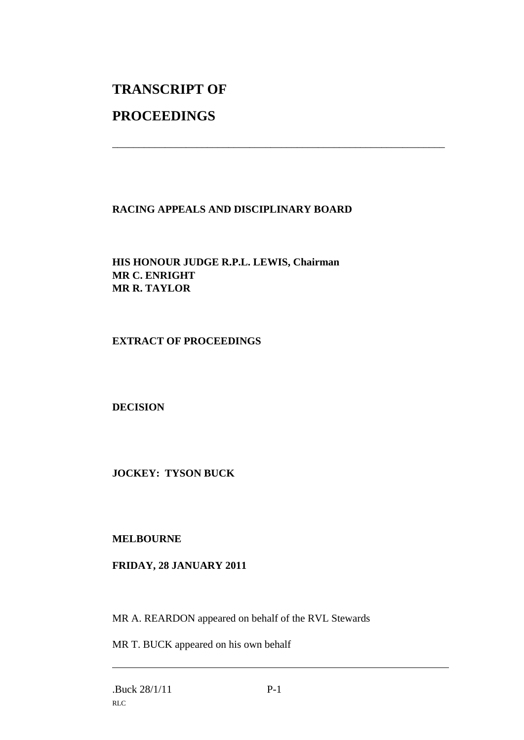# **TRANSCRIPT OF**

# **PROCEEDINGS**

# **RACING APPEALS AND DISCIPLINARY BOARD**

\_\_\_\_\_\_\_\_\_\_\_\_\_\_\_\_\_\_\_\_\_\_\_\_\_\_\_\_\_\_\_\_\_\_\_\_\_\_\_\_\_\_\_\_\_\_\_\_\_\_\_\_\_\_\_\_\_\_\_\_\_\_\_

**HIS HONOUR JUDGE R.P.L. LEWIS, Chairman MR C. ENRIGHT MR R. TAYLOR**

## **EXTRACT OF PROCEEDINGS**

**DECISION**

**JOCKEY: TYSON BUCK**

### **MELBOURNE**

### **FRIDAY, 28 JANUARY 2011**

MR A. REARDON appeared on behalf of the RVL Stewards

MR T. BUCK appeared on his own behalf